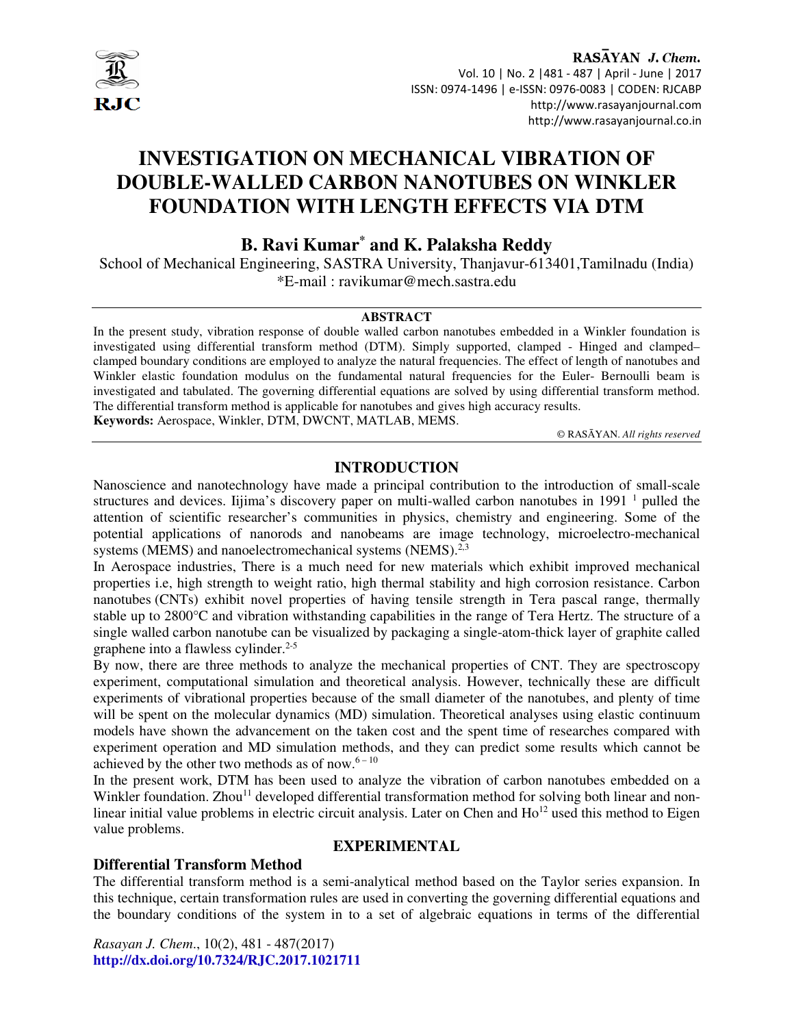

RASAYAN J. Chem. Vol. 10 | No. 2 |481 - 487 | April - June | 2017 ISSN: 0974-1496 | e-ISSN: 0976-0083 | CODEN: RJCABP http://www.rasayanjournal.com http://www.rasayanjournal.co.in

# **INVESTIGATION ON MECHANICAL VIBRATION OF DOUBLE-WALLED CARBON NANOTUBES ON WINKLER FOUNDATION WITH LENGTH EFFECTS VIA DTM**

# **B. Ravi Kumar\* and K. Palaksha Reddy**

School of Mechanical Engineering, SASTRA University, Thanjavur-613401,Tamilnadu (India) \*E-mail : ravikumar@mech.sastra.edu

#### **ABSTRACT**

In the present study, vibration response of double walled carbon nanotubes embedded in a Winkler foundation is investigated using differential transform method (DTM). Simply supported, clamped - Hinged and clamped– clamped boundary conditions are employed to analyze the natural frequencies. The effect of length of nanotubes and Winkler elastic foundation modulus on the fundamental natural frequencies for the Euler- Bernoulli beam is investigated and tabulated. The governing differential equations are solved by using differential transform method. The differential transform method is applicable for nanotubes and gives high accuracy results. **Keywords:** Aerospace, Winkler, DTM, DWCNT, MATLAB, MEMS.

© RASĀYAN. *All rights reserved*

# **INTRODUCTION**

Nanoscience and nanotechnology have made a principal contribution to the introduction of small-scale structures and devices. Iijima's discovery paper on multi-walled carbon nanotubes in 1991<sup>1</sup> pulled the attention of scientific researcher's communities in physics, chemistry and engineering. Some of the potential applications of nanorods and nanobeams are image technology, microelectro-mechanical systems (MEMS) and nanoelectromechanical systems (NEMS).<sup>2,3</sup>

In Aerospace industries, There is a much need for new materials which exhibit improved mechanical properties i.e, high strength to weight ratio, high thermal stability and high corrosion resistance. Carbon nanotubes (CNTs) exhibit novel properties of having tensile strength in Tera pascal range, thermally stable up to 2800°C and vibration withstanding capabilities in the range of Tera Hertz. The structure of a single walled carbon nanotube can be visualized by packaging a single-atom-thick layer of graphite called graphene into a flawless cylinder. $2-5$ 

By now, there are three methods to analyze the mechanical properties of CNT. They are spectroscopy experiment, computational simulation and theoretical analysis. However, technically these are difficult experiments of vibrational properties because of the small diameter of the nanotubes, and plenty of time will be spent on the molecular dynamics (MD) simulation. Theoretical analyses using elastic continuum models have shown the advancement on the taken cost and the spent time of researches compared with experiment operation and MD simulation methods, and they can predict some results which cannot be achieved by the other two methods as of now. $6 - 10$ 

In the present work, DTM has been used to analyze the vibration of carbon nanotubes embedded on a Winkler foundation. Zhou<sup>11</sup> developed differential transformation method for solving both linear and nonlinear initial value problems in electric circuit analysis. Later on Chen and Ho<sup>12</sup> used this method to Eigen value problems.

# **EXPERIMENTAL**

# **Differential Transform Method**

The differential transform method is a semi-analytical method based on the Taylor series expansion. In this technique, certain transformation rules are used in converting the governing differential equations and the boundary conditions of the system in to a set of algebraic equations in terms of the differential

*Rasayan J. Chem*., 10(2), 481 - 487(2017) **http://dx.doi.org/10.7324/RJC.2017.1021711**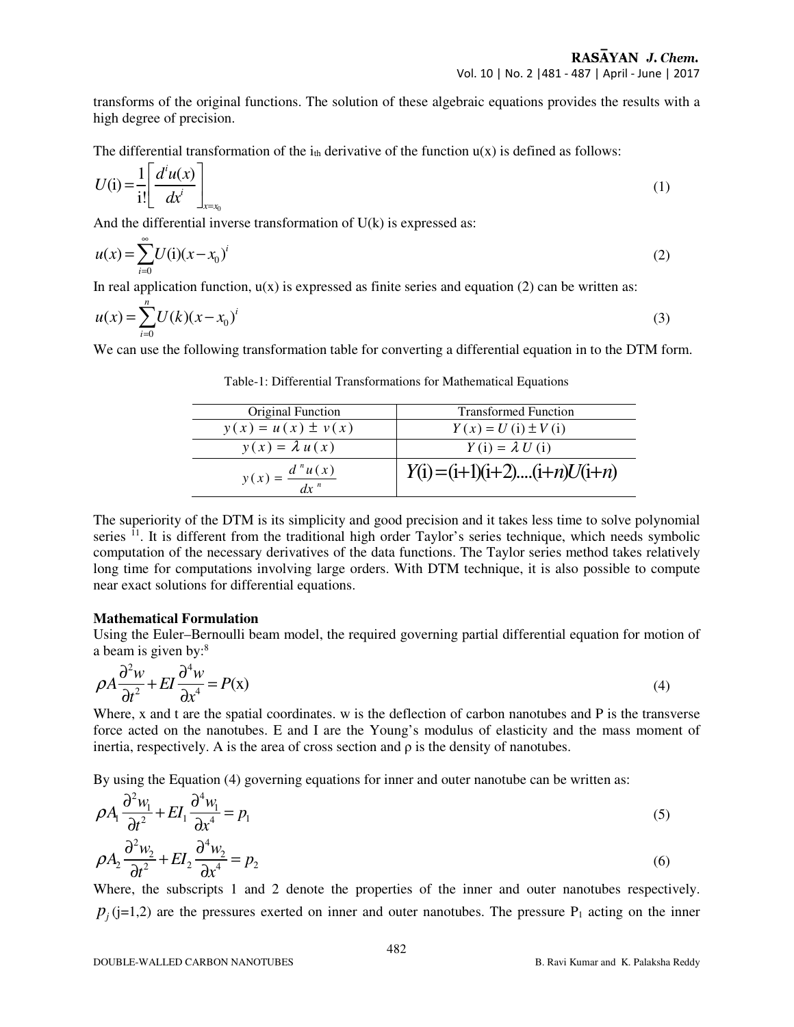transforms of the original functions. The solution of these algebraic equations provides the results with a high degree of precision.

The differential transformation of the  $i_{th}$  derivative of the function  $u(x)$  is defined as follows:

$$
U(i) = \frac{1}{i!} \left[ \frac{d^i u(x)}{dx^i} \right]_{x=x_0}
$$
 (1)

And the differential inverse transformation of U(k) is expressed as:

$$
u(x) = \sum_{i=0}^{\infty} U(i)(x - x_0)^i
$$
 (2)

In real application function,  $u(x)$  is expressed as finite series and equation (2) can be written as:

$$
u(x) = \sum_{i=0}^{n} U(k)(x - x_0)^i
$$
 (3)

We can use the following transformation table for converting a differential equation in to the DTM form.

| Original Function                              | <b>Transformed Function</b>    |
|------------------------------------------------|--------------------------------|
| $y(x) = u(x) \pm v(x)$                         | $Y(x) = U(i) \pm V(i)$         |
| $y(x) = \lambda u(x)$                          | $Y(i) = \lambda U(i)$          |
| $y(x) = \frac{d^{n}u(x)}{n}$<br>$\frac{dx}{n}$ | $Y(i) = (i+1)(i+2)(i+n)U(i+n)$ |

Table-1: Differential Transformations for Mathematical Equations

The superiority of the DTM is its simplicity and good precision and it takes less time to solve polynomial series  $^{11}$ . It is different from the traditional high order Taylor's series technique, which needs symbolic computation of the necessary derivatives of the data functions. The Taylor series method takes relatively long time for computations involving large orders. With DTM technique, it is also possible to compute near exact solutions for differential equations.

#### **Mathematical Formulation**

Using the Euler–Bernoulli beam model, the required governing partial differential equation for motion of a beam is given by:<sup>8</sup>

$$
\rho A \frac{\partial^2 w}{\partial t^2} + EI \frac{\partial^4 w}{\partial x^4} = P(x)
$$
\n(4)

Where, x and t are the spatial coordinates. w is the deflection of carbon nanotubes and P is the transverse force acted on the nanotubes. E and I are the Young's modulus of elasticity and the mass moment of inertia, respectively. A is the area of cross section and  $\rho$  is the density of nanotubes.

By using the Equation (4) governing equations for inner and outer nanotube can be written as:

$$
\rho A_1 \frac{\partial^2 w_1}{\partial t^2} + EI_1 \frac{\partial^4 w_1}{\partial x^4} = p_1
$$
\n<sup>(5)</sup>

$$
\rho A_2 \frac{\partial^2 w_2}{\partial t^2} + EI_2 \frac{\partial^4 w_2}{\partial x^4} = p_2
$$
\n(6)

Where, the subscripts 1 and 2 denote the properties of the inner and outer nanotubes respectively.  $p_j$ (j=1,2) are the pressures exerted on inner and outer nanotubes. The pressure  $P_1$  acting on the inner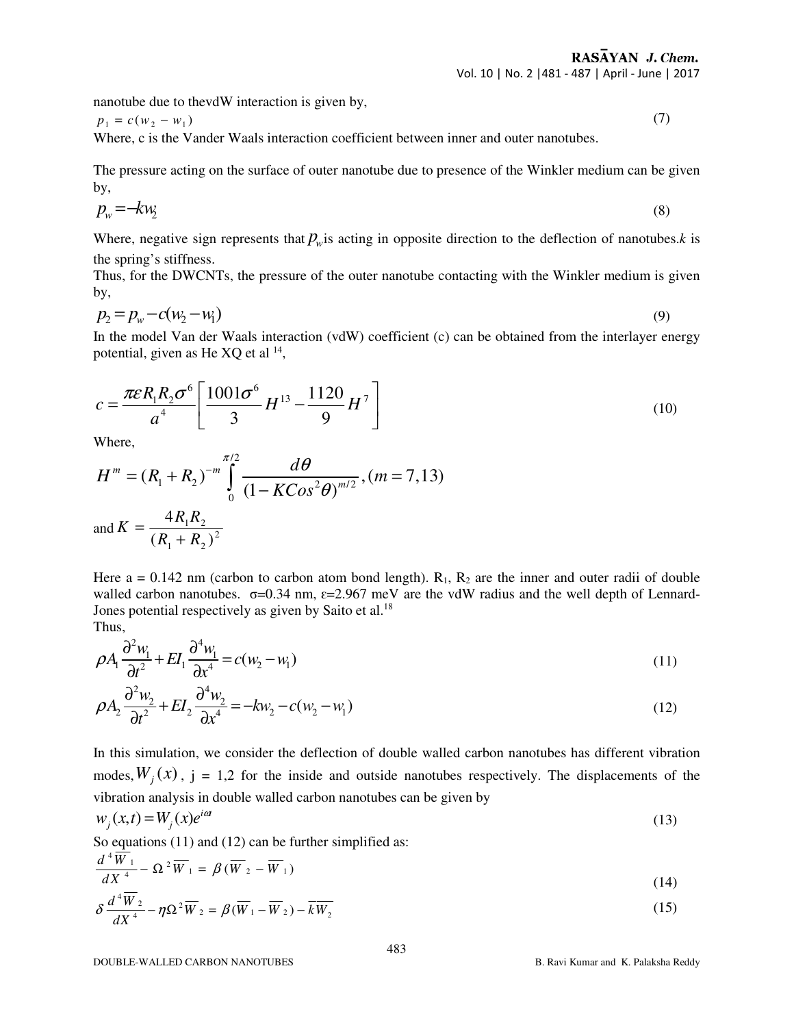Vol. 10 | No. 2 |481 - 487 | April - June | 2017

nanotube due to thevdW interaction is given by,

 $p_1 = c(w_2 - w_1)$  (7)

Where, c is the Vander Waals interaction coefficient between inner and outer nanotubes.

The pressure acting on the surface of outer nanotube due to presence of the Winkler medium can be given by,

$$
p_w = -kw_2 \tag{8}
$$

Where, negative sign represents that  $p_w$  is acting in opposite direction to the deflection of nanotubes.*k* is the spring's stiffness.

Thus, for the DWCNTs, the pressure of the outer nanotube contacting with the Winkler medium is given by,

$$
p_2 = p_w - c(w_2 - w_1) \tag{9}
$$

In the model Van der Waals interaction (vdW) coefficient (c) can be obtained from the interlayer energy potential, given as He  $XQ$  et al  $^{14}$ ,

$$
c = \frac{\pi \varepsilon R_1 R_2 \sigma^6}{a^4} \left[ \frac{1001 \sigma^6}{3} H^{13} - \frac{1120}{9} H^7 \right]
$$
(10)

Where,

$$
H^{m} = (R_{1} + R_{2})^{-m} \int_{0}^{\pi/2} \frac{d\theta}{(1 - KCos^{2}\theta)^{m/2}}, (m = 7, 13)
$$
  
and  $K = \frac{4R_{1}R_{2}}{(R_{1} + R_{2})^{2}}$ 

Here  $a = 0.142$  nm (carbon to carbon atom bond length).  $R_1$ ,  $R_2$  are the inner and outer radii of double walled carbon nanotubes.  $\sigma$ =0.34 nm,  $\varepsilon$ =2.967 meV are the vdW radius and the well depth of Lennard-Jones potential respectively as given by Saito et al.<sup>18</sup> Thus,

$$
\rho A_1 \frac{\partial^2 w_1}{\partial t^2} + EI_1 \frac{\partial^4 w_1}{\partial x^4} = c(w_2 - w_1)
$$
\n(11)

$$
\rho A_2 \frac{\partial^2 w_2}{\partial t^2} + EI_2 \frac{\partial^4 w_2}{\partial x^4} = -kw_2 - c(w_2 - w_1)
$$
\n(12)

In this simulation, we consider the deflection of double walled carbon nanotubes has different vibration modes,  $W_j(x)$ ,  $j = 1,2$  for the inside and outside nanotubes respectively. The displacements of the vibration analysis in double walled carbon nanotubes can be given by

$$
w_j(x,t) = W_j(x)e^{i\alpha t} \tag{13}
$$

So equations (11) and (12) can be further simplified as:

$$
\frac{d^4W_1}{dX^4} - \Omega^2 \overline{W}_1 = \beta(\overline{W}_2 - \overline{W}_1)
$$
\n(14)

$$
\delta \frac{d^4 \overline{W}_2}{dX^4} - \eta \Omega^2 \overline{W}_2 = \beta (\overline{W}_1 - \overline{W}_2) - \overline{k} \overline{W}_2
$$
\n(15)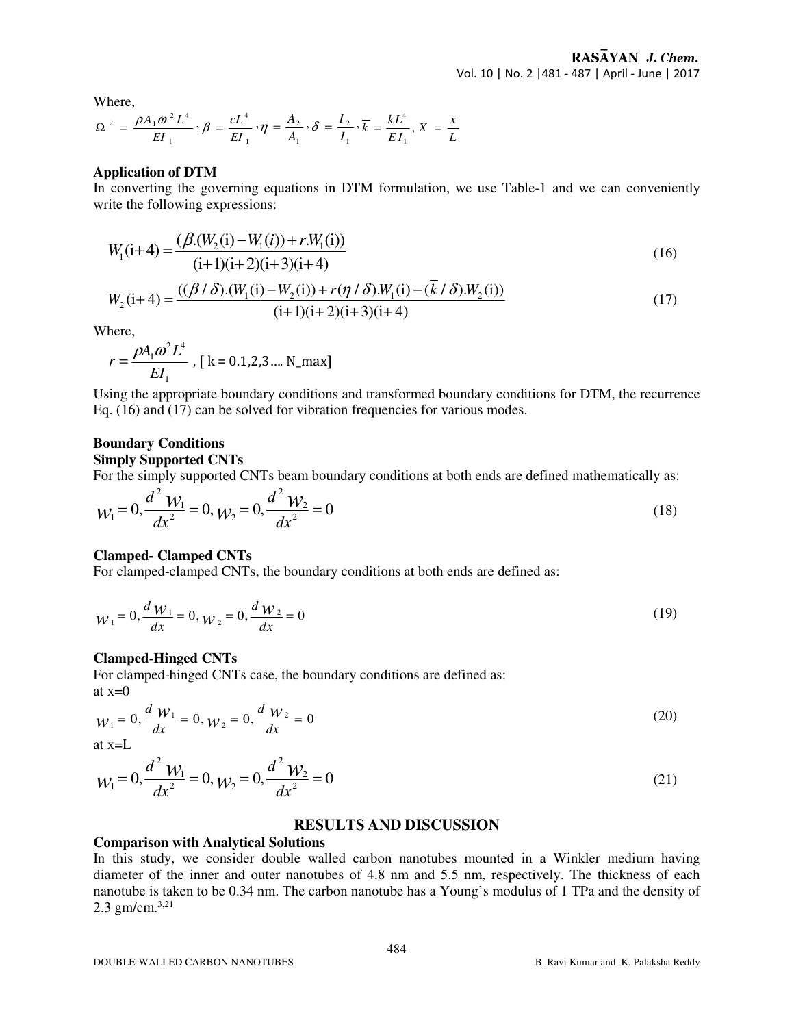Where,

$$
\Omega^2 = \frac{\rho A_1 \omega^2 L^4}{EI_1}, \beta = \frac{cL^4}{EI_1}, \eta = \frac{A_2}{A_1}, \delta = \frac{I_2}{I_1}, \overline{k} = \frac{kL^4}{EI_1}, X = \frac{x}{L}
$$

#### **Application of DTM**

In converting the governing equations in DTM formulation, we use Table-1 and we can conveniently write the following expressions:

$$
W_1(i+4) = \frac{(\beta.(W_2(i) - W_1(i)) + r.W_1(i))}{(i+1)(i+2)(i+3)(i+4)}
$$
\n(16)

$$
W_2(i+4) = \frac{((\beta/\delta).(W_1(i) - W_2(i)) + r(\eta/\delta).W_1(i) - (\bar{k}/\delta).W_2(i))}{(i+1)(i+2)(i+3)(i+4)}
$$
(17)

Where,

$$
r = \frac{\rho A_1 \omega^2 L^4}{E I_1}
$$
, [k = 0.1,2,3.... N\_max]

Using the appropriate boundary conditions and transformed boundary conditions for DTM, the recurrence Eq. (16) and (17) can be solved for vibration frequencies for various modes.

#### **Boundary Conditions Simply Supported CNTs**

For the simply supported CNTs beam boundary conditions at both ends are defined mathematically as:

$$
W_1 = 0, \frac{d^2 W_1}{dx^2} = 0, W_2 = 0, \frac{d^2 W_2}{dx^2} = 0
$$
\n(18)

# **Clamped- Clamped CNTs**

For clamped-clamped CNTs, the boundary conditions at both ends are defined as:

$$
W_1 = 0, \frac{d W_1}{dx} = 0, W_2 = 0, \frac{d W_2}{dx} = 0
$$
\n(19)

#### **Clamped-Hinged CNTs**

For clamped-hinged CNTs case, the boundary conditions are defined as: at  $x=0$ 

$$
W_1 = 0, \frac{d W_1}{dx} = 0, W_2 = 0, \frac{d W_2}{dx} = 0
$$
\n(20)

at x=L

$$
W_1 = 0, \frac{d^2 W_1}{dx^2} = 0, W_2 = 0, \frac{d^2 W_2}{dx^2} = 0
$$
\n(21)

#### **RESULTS AND DISCUSSION**

#### **Comparison with Analytical Solutions**

In this study, we consider double walled carbon nanotubes mounted in a Winkler medium having diameter of the inner and outer nanotubes of 4.8 nm and 5.5 nm, respectively. The thickness of each nanotube is taken to be 0.34 nm. The carbon nanotube has a Young's modulus of 1 TPa and the density of 2.3 gm/cm.3,21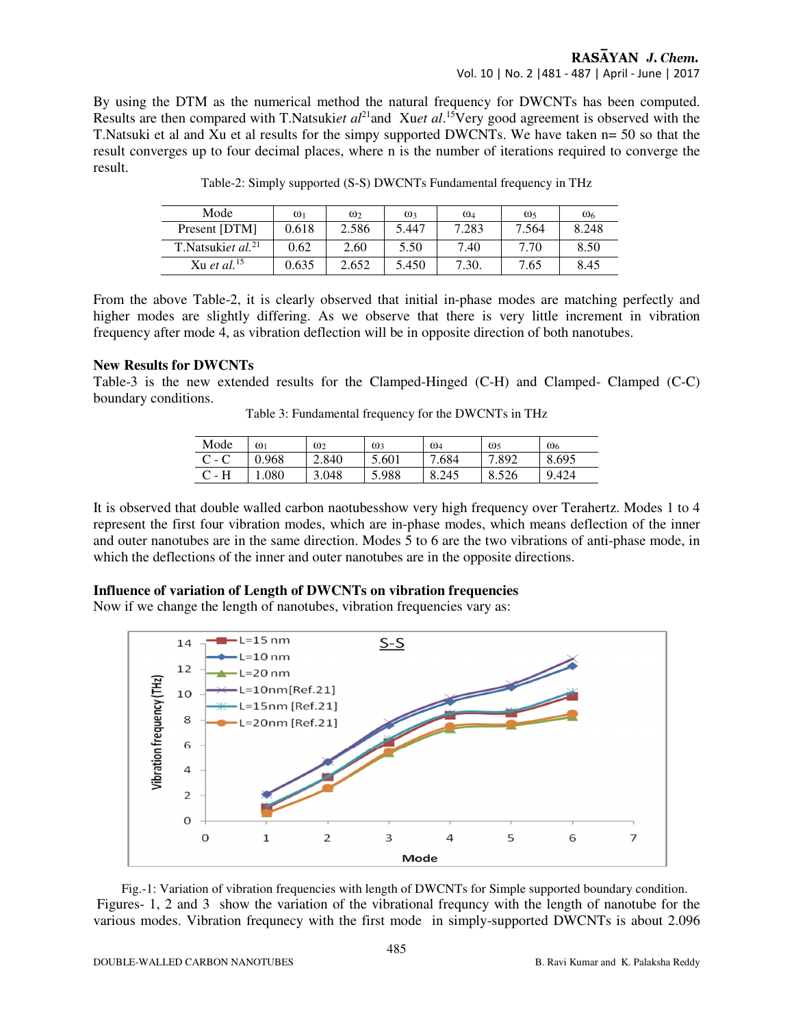# RASAYAN J. Chem. Vol. 10 | No. 2 |481 - 487 | April - June | 2017

By using the DTM as the numerical method the natural frequency for DWCNTs has been computed. Results are then compared with T.Natsuki*et al*<sup>21</sup>and Xu*et al*. <sup>15</sup>Very good agreement is observed with the T.Natsuki et al and Xu et al results for the simpy supported DWCNTs. We have taken n= 50 so that the result converges up to four decimal places, where n is the number of iterations required to converge the result.

| Mode                          | $\omega_1$ | $\omega_2$ | $\omega$ | $\omega_4$ | ω,    | $\omega_6$ |
|-------------------------------|------------|------------|----------|------------|-------|------------|
| Present [DTM]                 | 0.618      | 2.586      | 5.447    | 7.283      | 7.564 | 8.248      |
| T.Natsukiet al. <sup>21</sup> | 0.62       | 2.60       | 5.50     | 7.40       | 7.70  | 8.50       |
| Xu et al. $15$                | 0.635      | 2.652      | 5.450    | 7.30.      | 7.65  | 8.45       |

Table-2: Simply supported (S-S) DWCNTs Fundamental frequency in THz

From the above Table-2, it is clearly observed that initial in-phase modes are matching perfectly and higher modes are slightly differing. As we observe that there is very little increment in vibration frequency after mode 4, as vibration deflection will be in opposite direction of both nanotubes.

# **New Results for DWCNTs**

Table-3 is the new extended results for the Clamped-Hinged (C-H) and Clamped- Clamped (C-C) boundary conditions.

| Mode    | $\omega_1$ | $\omega_2$ | $\omega$ | $\omega_4$ | $\omega_{5}$ | $\omega_6$ |
|---------|------------|------------|----------|------------|--------------|------------|
| $C - C$ | 0.968      | 2.840      | 5.601    | 7.684      | 7.892        | 8.695      |

 $C - H$  1.080 3.048 5.988 8.245 8.526 9.424

Table 3: Fundamental frequency for the DWCNTs in THz

It is observed that double walled carbon naotubesshow very high frequency over Terahertz. Modes 1 to 4 represent the first four vibration modes, which are in-phase modes, which means deflection of the inner and outer nanotubes are in the same direction. Modes 5 to 6 are the two vibrations of anti-phase mode, in which the deflections of the inner and outer nanotubes are in the opposite directions.

# **Influence of variation of Length of DWCNTs on vibration frequencies**

Now if we change the length of nanotubes, vibration frequencies vary as:



 Fig.-1: Variation of vibration frequencies with length of DWCNTs for Simple supported boundary condition. Figures- 1, 2 and 3 show the variation of the vibrational frequncy with the length of nanotube for the various modes. Vibration frequnecy with the first mode in simply-supported DWCNTs is about 2.096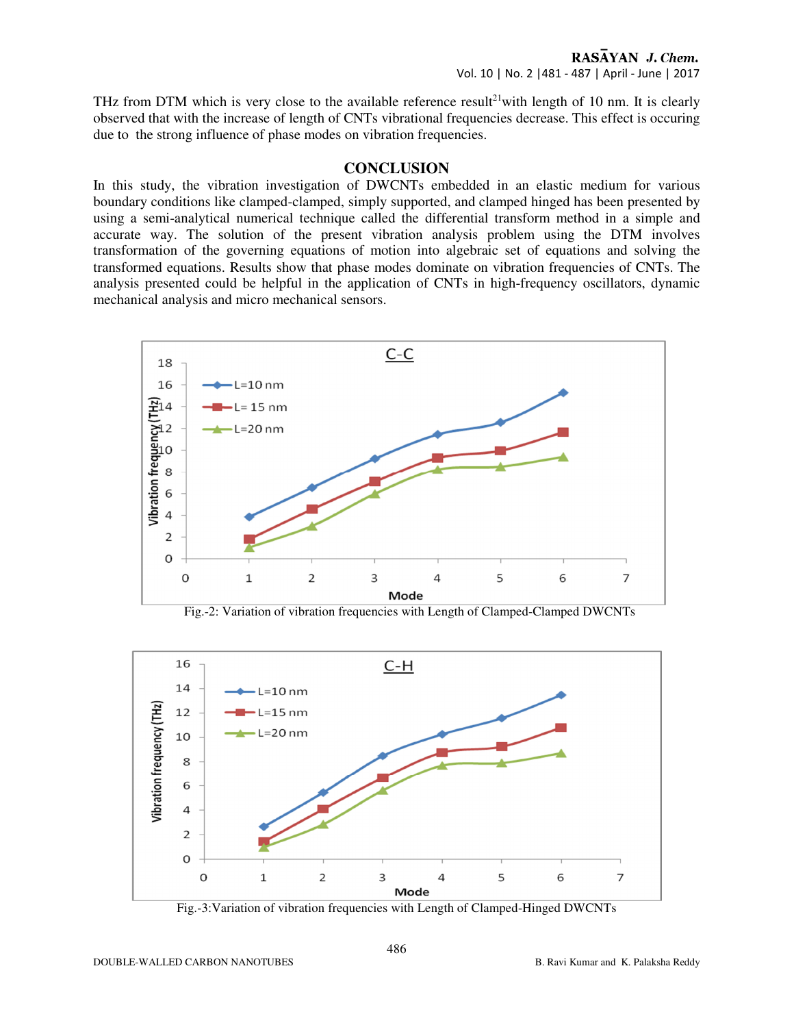THz from DTM which is very close to the available reference result<sup>21</sup>with length of 10 nm. It is clearly observed that with the increase of length of CNTs vibrational frequencies decrease. This effect is occuring due to the strong influence of phase modes on vibration frequencies.

#### **CONCLUSION**

In this study, the vibration investigation of DWCNTs embedded in an elastic medium for various boundary conditions like clamped-clamped, simply supported, and clamped hinged has been presented by using a semi-analytical numerical technique called the differential transform method in a simple and accurate way. The solution of the present vibration analysis problem using the DTM involves transformation of the governing equations of motion into algebraic set of equations and solving the transformed equations. Results show that phase modes dominate on vibration frequencies of CNTs. The analysis presented could be helpful in the application of CNTs in high-frequency oscillators, dynamic mechanical analysis and micro mechanical sensors.



Fig.-2: Variation of vibration frequencies with Length of Clamped-Clamped DWCNTs